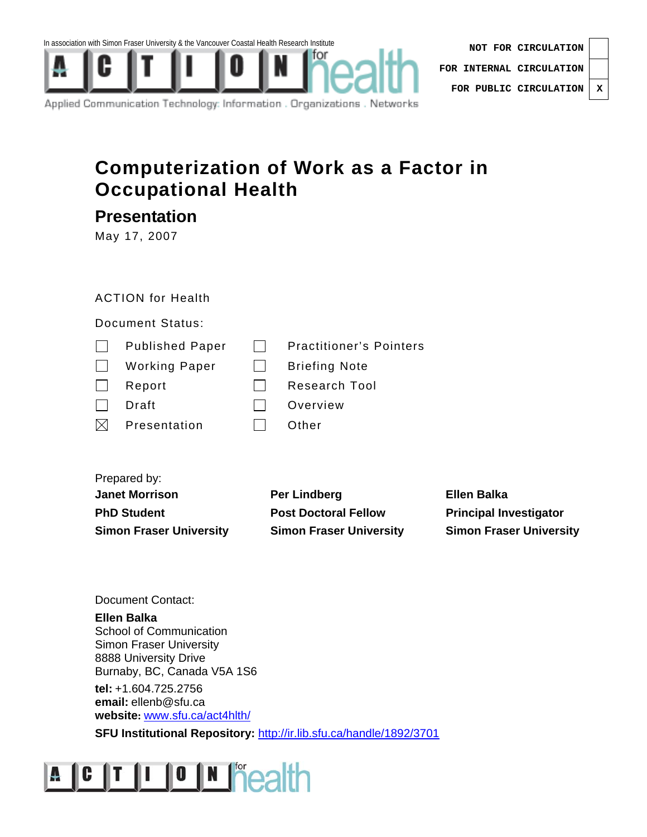



| NOT FOR CIRCULATION              |  |  |
|----------------------------------|--|--|
| FOR INTERNAL CIRCULATION $\vert$ |  |  |
| FOR PUBLIC CIRCULATION   X       |  |  |

Applied Communication Technology: Information . Organizations . Networks

#### **Computerization of Work as a Factor in Occupational Health**

**Presentation** 

May 17, 2007

#### ACTION for Health

Document Status:

|              | <b>Published Paper</b> | <b>Practitioner's Pointers</b> |
|--------------|------------------------|--------------------------------|
| $\mathbf{L}$ | <b>Working Paper</b>   | <b>Briefing Note</b>           |
| $\mathbf{I}$ | Report                 | Research Tool                  |
|              | Draft                  | Overview                       |
| IX           | Presentation           | Other                          |
|              |                        |                                |

Prepared by:

| <b>Janet Morrison</b>          | Per Lindberg                   | <b>Ellen Balka</b>             |
|--------------------------------|--------------------------------|--------------------------------|
| <b>PhD Student</b>             | <b>Post Doctoral Fellow</b>    | <b>Principal Investigator</b>  |
| <b>Simon Fraser University</b> | <b>Simon Fraser University</b> | <b>Simon Fraser University</b> |

Document Contact:

**Ellen Balka**  School of Communication Simon Fraser University 8888 University Drive Burnaby, BC, Canada V5A 1S6

**tel:** +1.604.725.2756 **email:** ellenb@sfu.ca **website:** www.sfu.ca/act4hlth/

**SFU Institutional Repository:** http://ir.lib.sfu.ca/handle/1892/3701

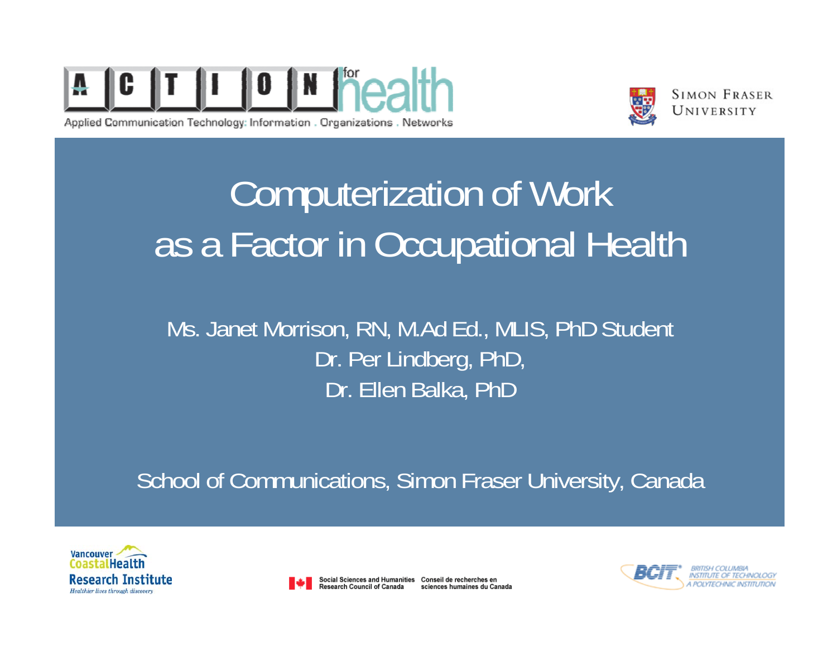

Applied Communication Technology: Information . Organizations . Networks



**SIMON FRASER** UNIVERSITY

# Computerization of Work as a Factor in Occupational Health

#### Ms. Janet Morrison, RN, M.Ad Ed., MLIS, PhD Student Dr. Per Lindberg, PhD, Dr. Ellen Balka, PhD

School of Communications, Simon Fraser University, Canada





Social Sciences and Humanities Conseil de recherches en Research Council of Canada sciences humaines du Canada

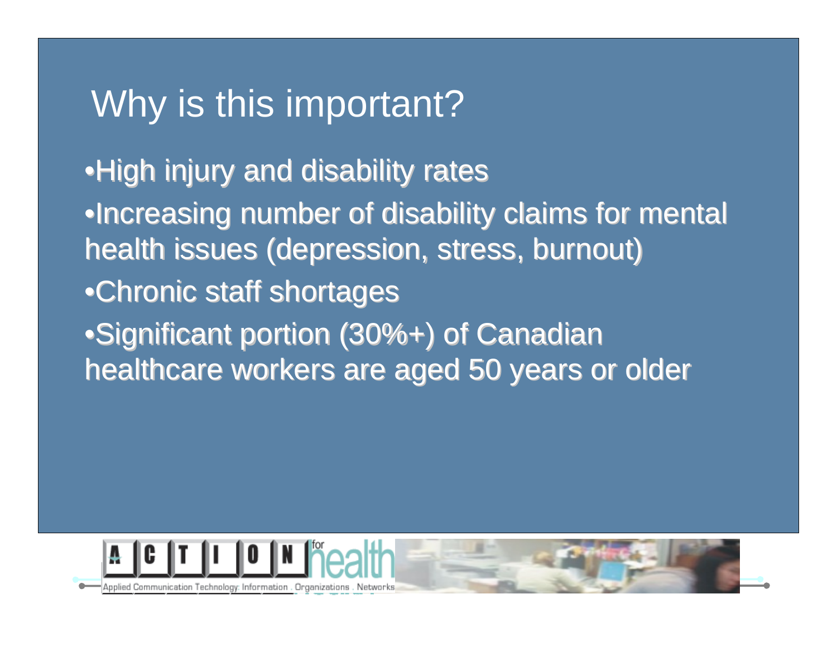#### Why is this important? This immortant of the United States

**Suggested font & bullets Suggested font & bullets** •Increasing number of disability claims for mental health issues (depression, stress, burnout)  $\bullet$ High injury and disability rates •Chronic staff shortages •Significant portion (30%+) of Canadian healthcare workers are aged 50 years or older

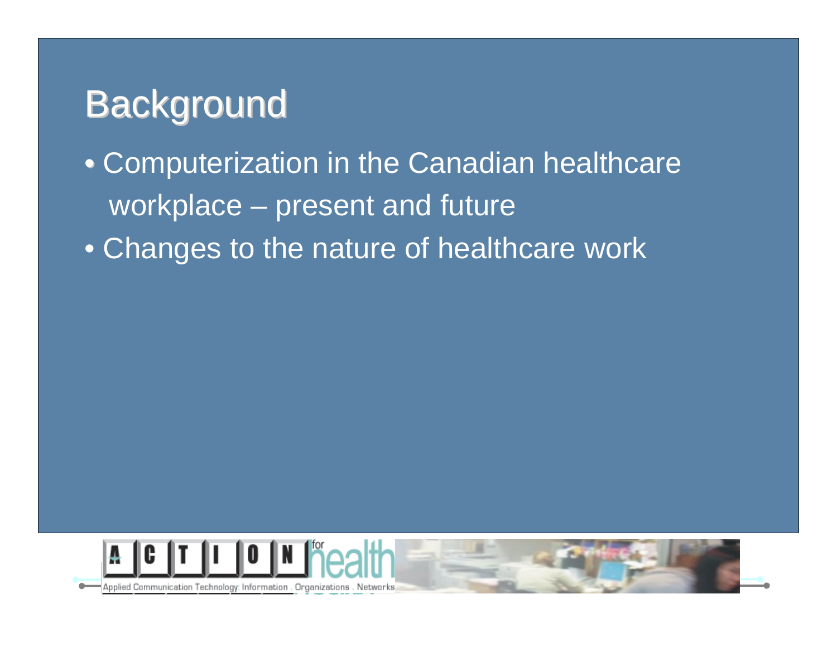## Background Background Background Background Background Background Background Background Background Background

#### **Suggested font & bullets Suggested font & bullets** Second level  $\bullet$  Changes to the nature of healthcare work • Computerization in the Canadian healthcare • workplace – present and future



Applied Communication Technology: Information . Organizations . Networks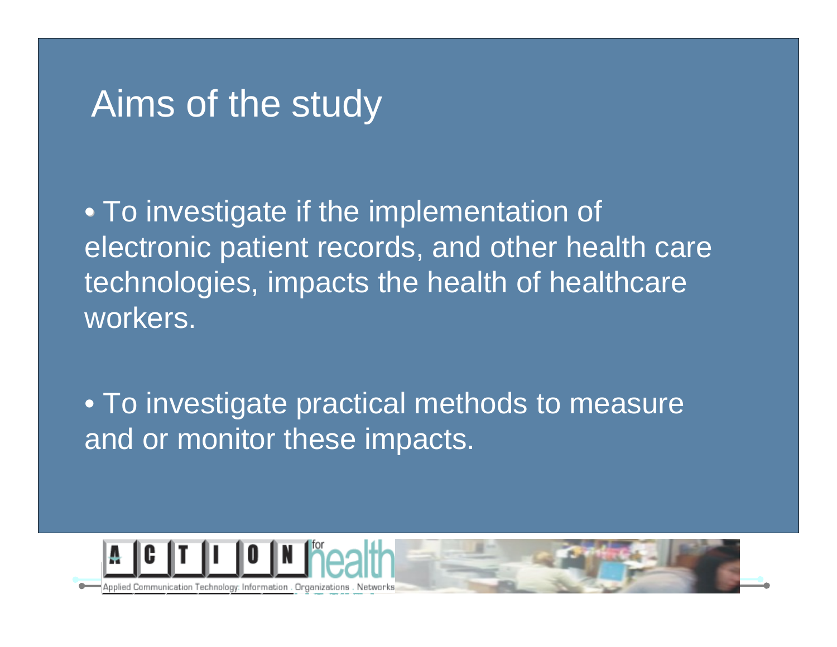#### Aims of the study and the study and the study of the study and the study of the study of the study of the stud

**Suggested font & bullets Suggested font & bullets** second level in the second level in the second level in the second level in the second level in the second level in the second level in the second level in the second level in the second level in the second level in the se electronic patient records, and other health care • To investigate if the implementation of • technologies, impacts the health of healthcare workers.

• To investigate practical methods to measure and or monitor these impacts.



Applied Communication Technology: Information . Organizations . Networ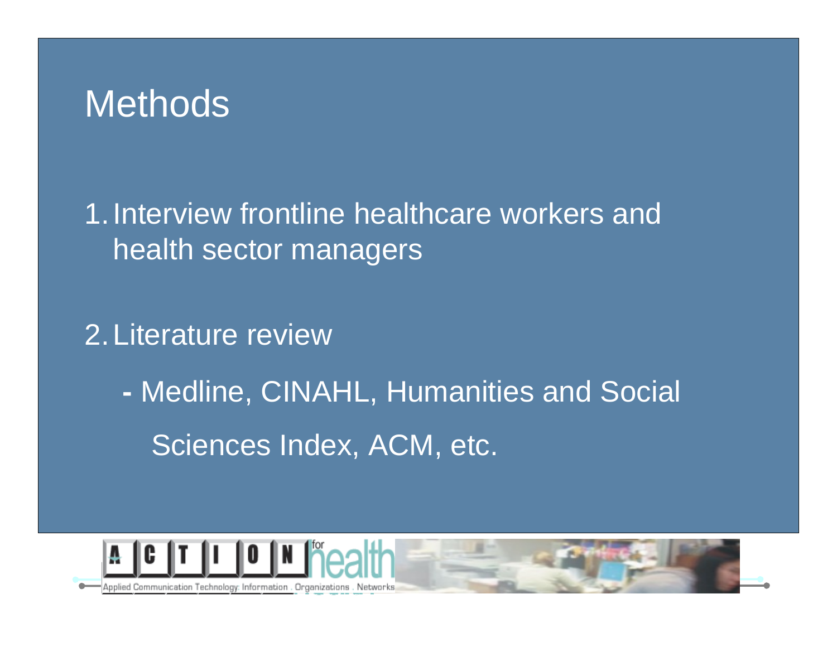#### Enter Slide Title In This Text Box Methods

Second level in the latest second level in the second level in the second level in the second level in the second level in the second level in the second level in the second level in the second level in the second level in health sector managers 1.Interview frontline healthcare workers and

2.Literature review

 Medline, CINAHL, Humanities and Social Sciences Index, ACM, etc.



Applied Communication Technology: Information . Organizations . Networks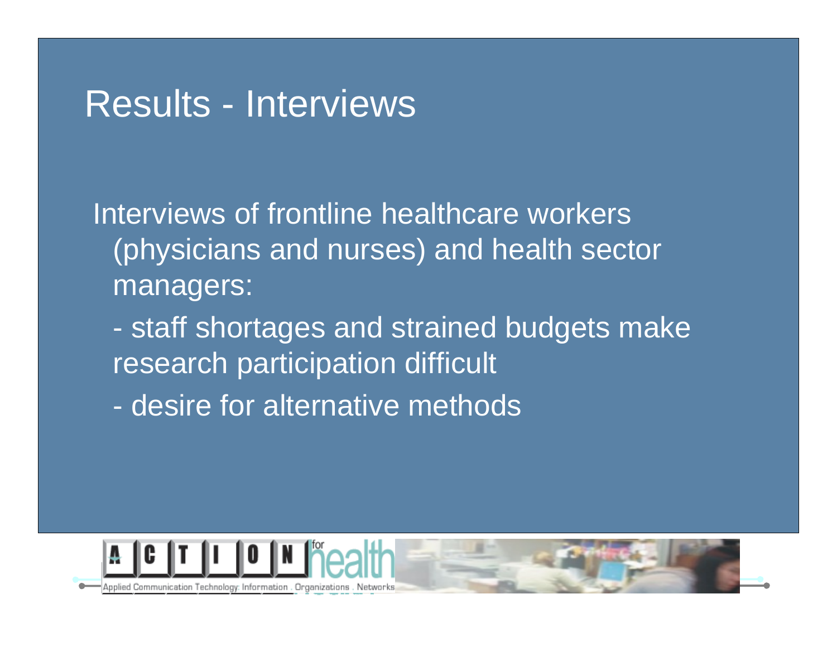#### Results - Interviews and the This Text Box

Second video (physicians and nurses) and health sector Interviews of frontline healthcare workers managers:

 staff shortages and strained budgets make research participation difficult

- desire for alternative methods

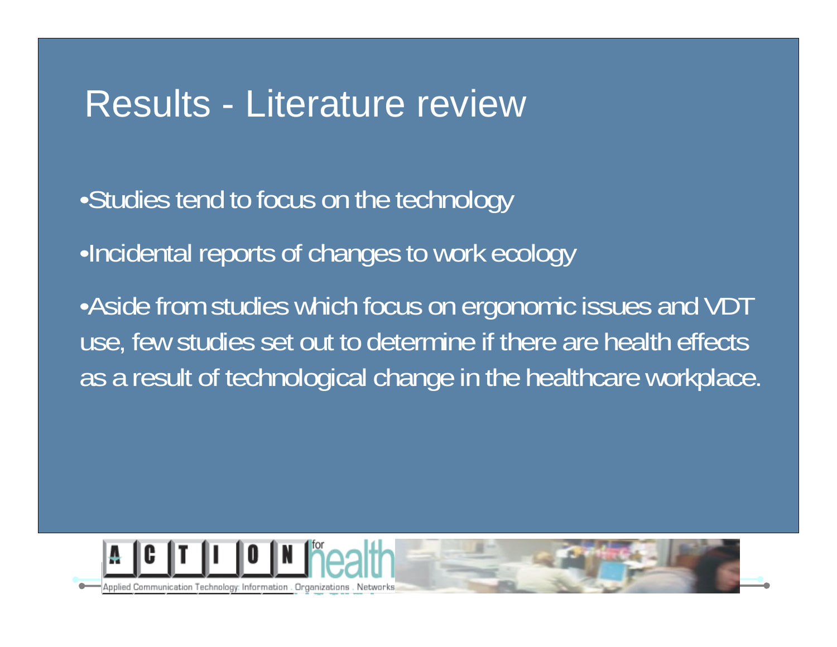#### Results - Literature review

- •Studies tend to focus on the technology
	- ·Incidental reports of changes to work ecology
	- •Aside from studies which focus on ergonomic issues and VDT use, few studies set out to determine if there are health effects as a result of technological change in the healthcare workplace.

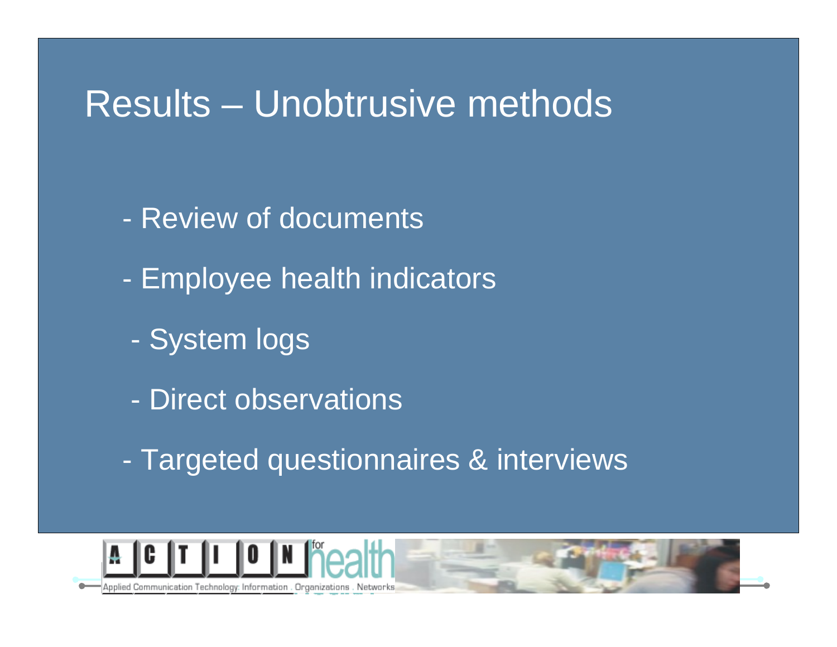#### Results – Unobtrusive methods

- Review of documents
	- -Employee health indicators
	- System logs
	- Direct observations
	- -Targeted questionnaires & interviews



Applied Communication Technology: Information . Organizations . Networks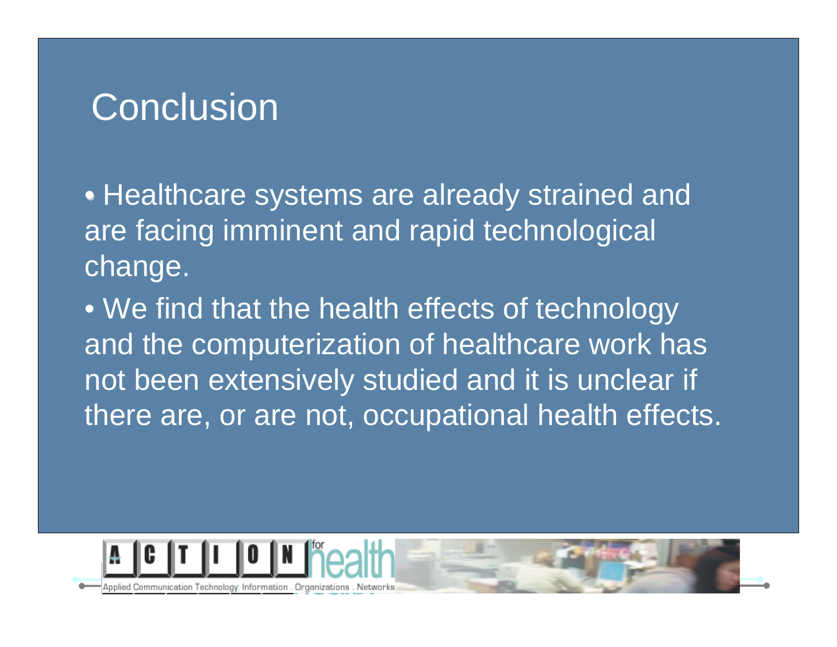# **Conclusion**

• Healthcare systems are already strained and are facing imminent and rapid technological change.

• We find that the health effects of technology and the computerization of healthcare work has not been extensively studied and it is unclear if there are, or are not, occupational health effects.